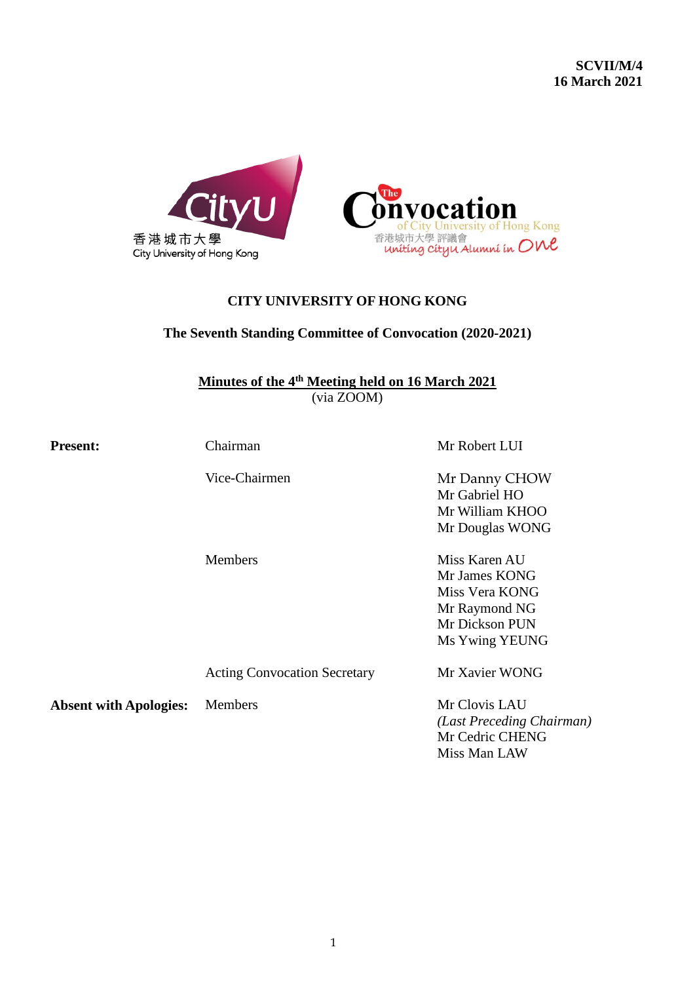

# **CITY UNIVERSITY OF HONG KONG**

# **The Seventh Standing Committee of Convocation (2020-2021)**

**Minutes of the 4 th Meeting held on 16 March 2021** (via ZOOM)

**Present:** Chairman Chairman Mr Robert LUI

Vice-Chairmen Mr Danny CHOW

Mr Gabriel HO Mr William KHOO Mr Douglas WONG

Members Miss Karen AU Mr James KONG Miss Vera KONG Mr Raymond NG Mr Dickson PUN Ms Ywing YEUNG

Acting Convocation Secretary Mr Xavier WONG

**Absent with Apologies:** Members Mr Clovis LAU

*(Last Preceding Chairman)* Mr Cedric CHENG Miss Man LAW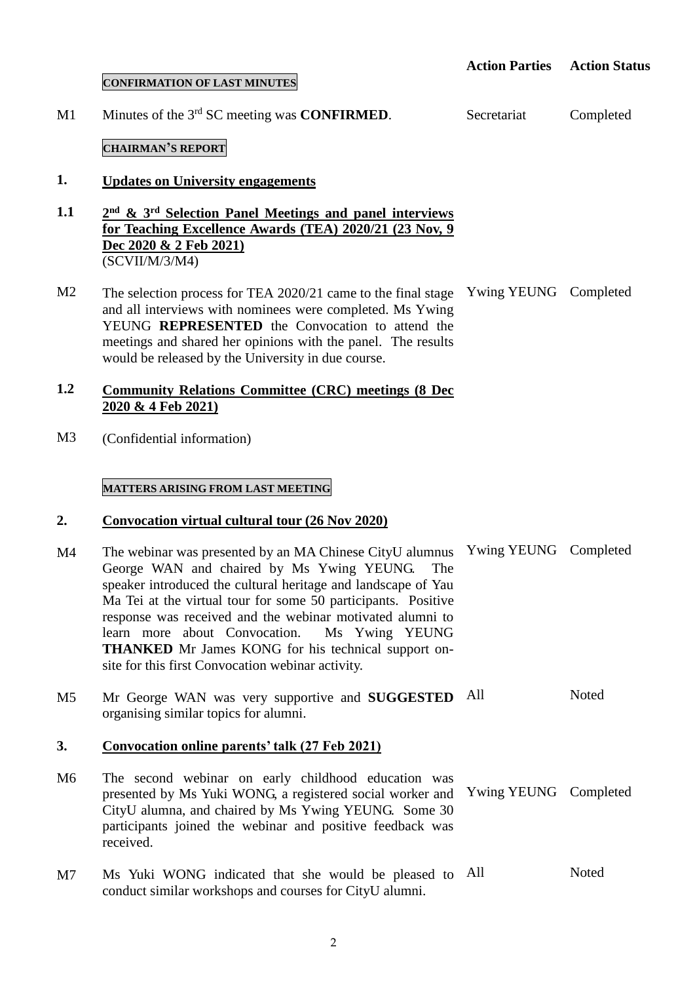### **CONFIRMATION OF LAST MINUTES**

 $M<sub>1</sub>$ Minutes of the 3<sup>rd</sup> SC meeting was **CONFIRMED**.

### **CHAIRMAN'S REPORT**

#### **1. Updates on University engagements**

**1.1 2 nd & 3rd Selection Panel Meetings and panel interviews for Teaching Excellence Awards (TEA) 2020/21 (23 Nov, 9 Dec 2020 & 2 Feb 2021)** (SCVII/M/3/M4)

 $M<sub>2</sub>$ The selection process for TEA 2020/21 came to the final stage Ywing YEUNG Completed and all interviews with nominees were completed. Ms Ywing YEUNG **REPRESENTED** the Convocation to attend the meetings and shared her opinions with the panel. The results would be released by the University in due course.

### **1.2 Community Relations Committee (CRC) meetings (8 Dec 2020 & 4 Feb 2021)**

M3 (Confidential information)

# **MATTERS ARISING FROM LAST MEETING**

#### **2. Convocation virtual cultural tour (26 Nov 2020)**

- M4 The webinar was presented by an MA Chinese CityU alumnus Ywing YEUNG Completed George WAN and chaired by Ms Ywing YEUNG. The speaker introduced the cultural heritage and landscape of Yau Ma Tei at the virtual tour for some 50 participants. Positive response was received and the webinar motivated alumni to learn more about Convocation. Ms Ywing YEUNG **THANKED** Mr James KONG for his technical support onsite for this first Convocation webinar activity.
- $M<sub>5</sub>$ Mr George WAN was very supportive and **SUGGESTED** All organising similar topics for alumni. **Noted**

#### **3. Convocation online parents' talk (27 Feb 2021)**

- M6 The second webinar on early childhood education was presented by Ms Yuki WONG, a registered social worker and CityU alumna, and chaired by Ms Ywing YEUNG. Some 30 participants joined the webinar and positive feedback was received. Ywing YEUNG Completed
- M7 Ms Yuki WONG indicated that she would be pleased to All conduct similar workshops and courses for CityU alumni. Noted

2

Secretariat

Completed